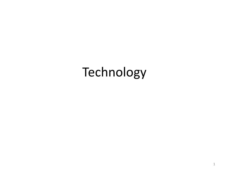# Technology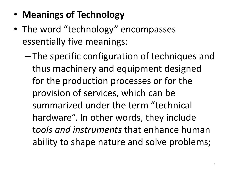- **Meanings of Technology**
- The word "technology" encompasses essentially five meanings:
	- The specific configuration of techniques and thus machinery and equipment designed for the production processes or for the provision of services, which can be summarized under the term "technical hardware". In other words, they include t*ools and instruments* that enhance human ability to shape nature and solve problems;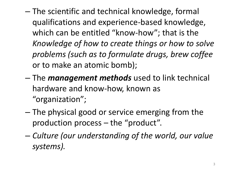- The scientific and technical knowledge, formal qualifications and experience-based knowledge, which can be entitled "know-how"; that is the *Knowledge of how to create things or how to solve problems (such as to formulate drugs, brew coffee*  or to make an atomic bomb);
- The *management methods* used to link technical hardware and know-how, known as "organization";
- The physical good or service emerging from the production process – the "product".
- *Culture (our understanding of the world, our value systems).*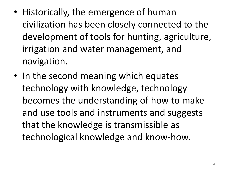- Historically, the emergence of human civilization has been closely connected to the development of tools for hunting, agriculture, irrigation and water management, and navigation.
- In the second meaning which equates technology with knowledge, technology becomes the understanding of how to make and use tools and instruments and suggests that the knowledge is transmissible as technological knowledge and know-how.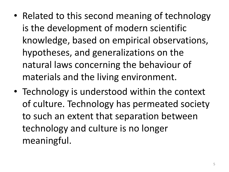- Related to this second meaning of technology is the development of modern scientific knowledge, based on empirical observations, hypotheses, and generalizations on the natural laws concerning the behaviour of materials and the living environment.
- Technology is understood within the context of culture. Technology has permeated society to such an extent that separation between technology and culture is no longer meaningful.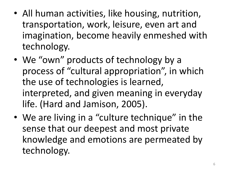- All human activities, like housing, nutrition, transportation, work, leisure, even art and imagination, become heavily enmeshed with technology.
- We "own" products of technology by a process of "cultural appropriation", in which the use of technologies is learned, interpreted, and given meaning in everyday life. (Hard and Jamison, 2005).
- We are living in a "culture technique" in the sense that our deepest and most private knowledge and emotions are permeated by technology.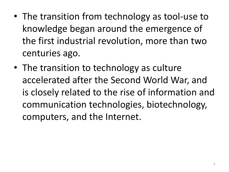- The transition from technology as tool-use to knowledge began around the emergence of the first industrial revolution, more than two centuries ago.
- The transition to technology as culture accelerated after the Second World War, and is closely related to the rise of information and communication technologies, biotechnology, computers, and the Internet.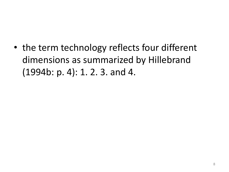• the term technology reflects four different dimensions as summarized by Hillebrand (1994b: p. 4): 1. 2. 3. and 4.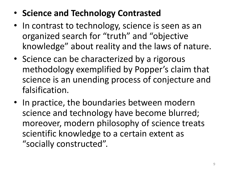## • **Science and Technology Contrasted**

- In contrast to technology, science is seen as an organized search for "truth" and "objective knowledge" about reality and the laws of nature.
- Science can be characterized by a rigorous methodology exemplified by Popper's claim that science is an unending process of conjecture and falsification.
- In practice, the boundaries between modern science and technology have become blurred; moreover, modern philosophy of science treats scientific knowledge to a certain extent as "socially constructed".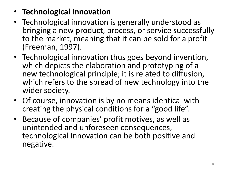#### • **Technological Innovation**

- Technological innovation is generally understood as bringing a new product, process, or service successfully to the market, meaning that it can be sold for a profit (Freeman, 1997).
- Technological innovation thus goes beyond invention, which depicts the elaboration and prototyping of a new technological principle; it is related to diffusion, which refers to the spread of new technology into the wider society.
- Of course, innovation is by no means identical with creating the physical conditions for a "good life".
- Because of companies' profit motives, as well as unintended and unforeseen consequences, technological innovation can be both positive and negative.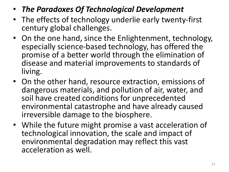- *The Paradoxes Of Technological Development*
- The effects of technology underlie early twenty-first century global challenges.
- On the one hand, since the Enlightenment, technology, especially science-based technology, has offered the promise of a better world through the elimination of disease and material improvements to standards of living.
- On the other hand, resource extraction, emissions of dangerous materials, and pollution of air, water, and soil have created conditions for unprecedented environmental catastrophe and have already caused irreversible damage to the biosphere.
- While the future might promise a vast acceleration of technological innovation, the scale and impact of environmental degradation may reflect this vast acceleration as well.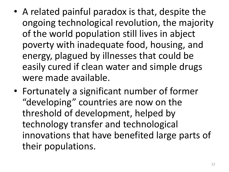- A related painful paradox is that, despite the ongoing technological revolution, the majority of the world population still lives in abject poverty with inadequate food, housing, and energy, plagued by illnesses that could be easily cured if clean water and simple drugs were made available.
- Fortunately a significant number of former "developing" countries are now on the threshold of development, helped by technology transfer and technological innovations that have benefited large parts of their populations.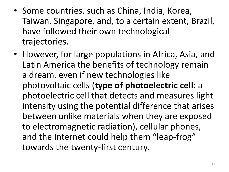- Some countries, such as China, India, Korea, Taiwan, Singapore, and, to a certain extent, Brazil, have followed their own technological trajectories.
- However, for large populations in Africa, Asia, and Latin America the benefits of technology remain a dream, even if new technologies like photovoltaic cells (**type of photoelectric cell:** a photoelectric cell that detects and measures light intensity using the potential difference that arises between unlike materials when they are exposed to electromagnetic radiation), cellular phones, and the Internet could help them "leap-frog" towards the twenty-first century.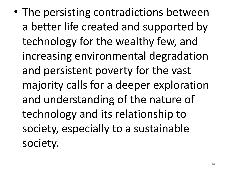• The persisting contradictions between a better life created and supported by technology for the wealthy few, and increasing environmental degradation and persistent poverty for the vast majority calls for a deeper exploration and understanding of the nature of technology and its relationship to society, especially to a sustainable society.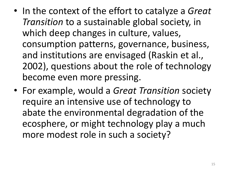- In the context of the effort to catalyze a *Great Transition* to a sustainable global society, in which deep changes in culture, values, consumption patterns, governance, business, and institutions are envisaged (Raskin et al., 2002), questions about the role of technology become even more pressing.
- For example, would a *Great Transition* society require an intensive use of technology to abate the environmental degradation of the ecosphere, or might technology play a much more modest role in such a society?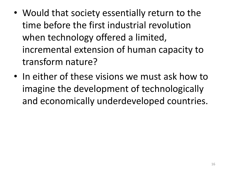- Would that society essentially return to the time before the first industrial revolution when technology offered a limited, incremental extension of human capacity to transform nature?
- In either of these visions we must ask how to imagine the development of technologically and economically underdeveloped countries.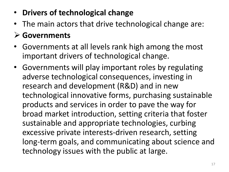- **Drivers of technological change**
- The main actors that drive technological change are:

#### **Governments**

- Governments at all levels rank high among the most important drivers of technological change.
- Governments will play important roles by regulating adverse technological consequences, investing in research and development (R&D) and in new technological innovative forms, purchasing sustainable products and services in order to pave the way for broad market introduction, setting criteria that foster sustainable and appropriate technologies, curbing excessive private interests-driven research, setting long-term goals, and communicating about science and technology issues with the public at large.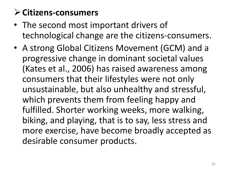# **Citizens-consumers**

- The second most important drivers of technological change are the citizens-consumers.
- A strong Global Citizens Movement (GCM) and a progressive change in dominant societal values (Kates et al., 2006) has raised awareness among consumers that their lifestyles were not only unsustainable, but also unhealthy and stressful, which prevents them from feeling happy and fulfilled. Shorter working weeks, more walking, biking, and playing, that is to say, less stress and more exercise, have become broadly accepted as desirable consumer products.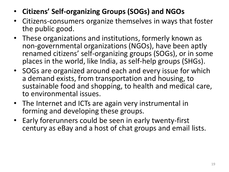- **Citizens' Self-organizing Groups (SOGs) and NGOs**
- Citizens-consumers organize themselves in ways that foster the public good.
- These organizations and institutions, formerly known as non-governmental organizations (NGOs), have been aptly renamed citizens' self-organizing groups (SOGs), or in some places in the world, like India, as self-help groups (SHGs).
- SOGs are organized around each and every issue for which a demand exists, from transportation and housing, to sustainable food and shopping, to health and medical care, to environmental issues.
- The Internet and ICTs are again very instrumental in forming and developing these groups.
- Early forerunners could be seen in early twenty-first century as eBay and a host of chat groups and email lists.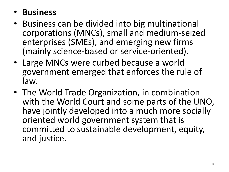### • **Business**

- Business can be divided into big multinational corporations (MNCs), small and medium-seized enterprises (SMEs), and emerging new firms (mainly science-based or service-oriented).
- Large MNCs were curbed because a world government emerged that enforces the rule of law.
- The World Trade Organization, in combination with the World Court and some parts of the UNO, have jointly developed into a much more socially oriented world government system that is committed to sustainable development, equity, and justice.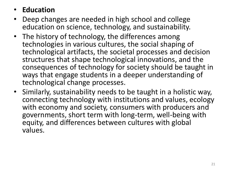#### • **Education**

- Deep changes are needed in high school and college education on science, technology, and sustainability.
- The history of technology, the differences among technologies in various cultures, the social shaping of technological artifacts, the societal processes and decision structures that shape technological innovations, and the consequences of technology for society should be taught in ways that engage students in a deeper understanding of technological change processes.
- Similarly, sustainability needs to be taught in a holistic way, connecting technology with institutions and values, ecology with economy and society, consumers with producers and governments, short term with long-term, well-being with equity, and differences between cultures with global values.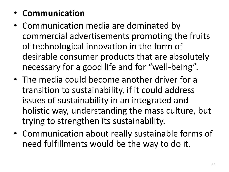### • **Communication**

- Communication media are dominated by commercial advertisements promoting the fruits of technological innovation in the form of desirable consumer products that are absolutely necessary for a good life and for "well-being".
- The media could become another driver for a transition to sustainability, if it could address issues of sustainability in an integrated and holistic way, understanding the mass culture, but trying to strengthen its sustainability.
- Communication about really sustainable forms of need fulfillments would be the way to do it.